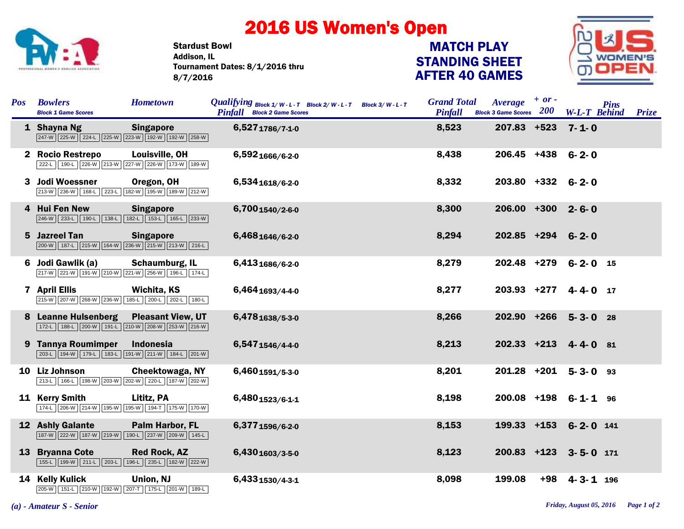## 2016 US Women's Open



Stardust Bowl Tournament Dates: 8/1/2016 thru 8/7/2016 Addison, IL

## STANDING SHEET AFTER 40 GAMES MATCH PLAY



| <b>Pos</b> | <b>Bowlers</b><br><b>Block 1 Game Scores</b>                                              | <b>Hometown</b>          | <i>Qualifying</i> $B$ lock 1/W - L - T Block 2/W - L - T Block 3/W - L - T<br><b>Pinfall</b> Block 2 Game Scores | <b>Grand Total</b><br><b>Pinfall</b> | $+ or -$<br><i><b>Average</b></i><br>Block 3 Game Scores 200 | <b>Pins</b><br><b>W-L-T Behind Prize</b> |
|------------|-------------------------------------------------------------------------------------------|--------------------------|------------------------------------------------------------------------------------------------------------------|--------------------------------------|--------------------------------------------------------------|------------------------------------------|
|            | 1 Shayna Ng<br>247-W 225-W 224-L 225-W 223-W 192-W 192-W 258-W                            | <b>Singapore</b>         | 6,5271786/7-1-0                                                                                                  | 8,523                                | $207.83$ +523 7-1-0                                          |                                          |
|            | 2 Rocio Restrepo<br>222-L 190-L 226-W 213-W 227-W 226-W 173-W 189-W                       | Louisville, OH           | 6,5921666/6-2-0                                                                                                  | 8,438                                | $206.45$ +438 6-2-0                                          |                                          |
|            | 3 Jodi Woessner<br>213-W 236-W 168-L 223-L 182-W 195-W 189-W 212-W                        | Oregon, OH               | 6,5341618/6-2-0                                                                                                  | 8,332                                | $203.80 + 332$ 6-2-0                                         |                                          |
|            | 4 Hui Fen New<br>246-W 233-L 190-L 138-L 182-L 153-L 165-L 233-W                          | <b>Singapore</b>         | 6,7001540/2-6-0                                                                                                  | 8,300                                | $206.00 + 300$ 2-6-0                                         |                                          |
|            | 5 Jazreel Tan<br>200-W 187-L 215-W 164-W 236-W 215-W 213-W 216-L                          | <b>Singapore</b>         | 6,4681646/6-2-0                                                                                                  | 8,294                                | $202.85$ +294 6-2-0                                          |                                          |
| 6          | Jodi Gawlik (a)<br>217-W 221-W 191-W 210-W 221-W 256-W 196-L 174-L                        | Schaumburg, IL           | 6,4131686/6-2-0                                                                                                  | 8,279                                | 202.48 +279 6-2-0 15                                         |                                          |
|            | <b>7</b> April Ellis<br>215-W 207-W 268-W 236-W 185-L 200-L 202-L 180-L                   | <b>Wichita, KS</b>       | 6,4641693/4-4-0                                                                                                  | 8,277                                | 203.93 +277 4-4-0 17                                         |                                          |
| 8          | <b>Leanne Hulsenberg</b><br>172-L   188-L   200-W   191-L   210-W   208-W   253-W   216-W | <b>Pleasant View, UT</b> | 6,4781638/5-3-0                                                                                                  | 8,266                                | $202.90 + 266$ 5-3-0 28                                      |                                          |
|            | 9 Tannya Roumimper<br>203-L 194-W 179-L 183-L 191-W 211-W 184-L 201-W                     | <b>Indonesia</b>         | 6,5471546/4-4-0                                                                                                  | 8,213                                | $202.33 +213$ 4-4-0 81                                       |                                          |
|            | 10 Liz Johnson<br>213-L 166-L 198-W 203-W 202-W 220-L 187-W 202-W                         | Cheektowaga, NY          | 6,4601591/5-3-0                                                                                                  | 8,201                                | $201.28$ +201 5-3-0 93                                       |                                          |
|            | 11 Kerry Smith<br>174-L 206-W 214-W 195-W 195-W 194-T 175-W 170-W                         | Lititz, PA               | 6,4801523/6-1-1                                                                                                  | 8,198                                | 200.08 +198 6-1-1 96                                         |                                          |
|            | <b>12 Ashly Galante</b><br>187-W 222-W 187-W 219-W 190-L 237-W 209-W 145-L                | <b>Palm Harbor, FL</b>   | 6,3771596/6-2-0                                                                                                  | 8,153                                | 199.33 +153 6-2-0 141                                        |                                          |
|            | 13 Bryanna Cote<br>155-L 199-W 211-L 203-L 196-L 235-L 182-W 222-W                        | <b>Red Rock, AZ</b>      | 6,4301603/3-5-0                                                                                                  | 8,123                                | 200.83 +123 3-5-0 171                                        |                                          |
|            | 14 Kelly Kulick<br>205-W 151-L 210-W 192-W 207-T 175-L 201-W 189-L                        | Union, NJ                | 6,4331530/4-3-1                                                                                                  | 8,098                                | 199.08                                                       | +98 4-3-1 196                            |